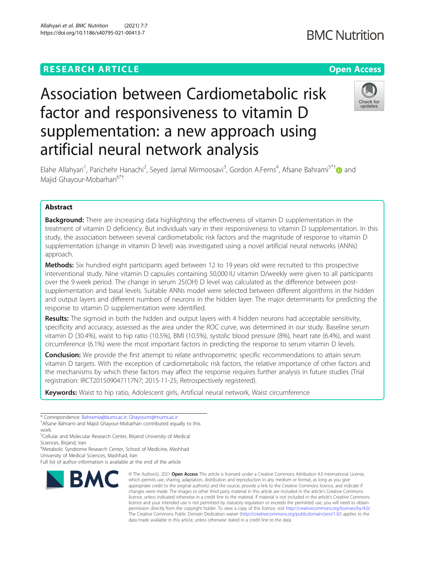# **RESEARCH ARTICLE Example 2014 12:30 The Contract of Contract ACCESS**

# Association between Cardiometabolic risk factor and responsiveness to vitamin D supplementation: a new approach using artificial neural network analysis



Elahe Allahyari<sup>1</sup>, Parichehr Hanachi<sup>2</sup>, Seyed Jamal Mirmoosavi<sup>3</sup>, Gordon A.Ferns<sup>4</sup>, Afsane Bahrami<sup>5\*†</sup>@ and Majid Ghayour-Mobarhan<sup>6\*†</sup>

# Abstract

**Background:** There are increasing data highlighting the effectiveness of vitamin D supplementation in the treatment of vitamin D deficiency. But individuals vary in their responsiveness to vitamin D supplementation. In this study, the association between several cardiometabolic risk factors and the magnitude of response to vitamin D supplementation (change in vitamin D level) was investigated using a novel artificial neural networks (ANNs) approach.

**Methods:** Six hundred eight participants aged between 12 to 19 years old were recruited to this prospective interventional study. Nine vitamin D capsules containing 50,000 IU vitamin D/weekly were given to all participants over the 9 week period. The change in serum 25(OH) D level was calculated as the difference between postsupplementation and basal levels. Suitable ANNs model were selected between different algorithms in the hidden and output layers and different numbers of neurons in the hidden layer. The major determinants for predicting the response to vitamin D supplementation were identified.

Results: The sigmoid in both the hidden and output layers with 4 hidden neurons had acceptable sensitivity, specificity and accuracy, assessed as the area under the ROC curve, was determined in our study. Baseline serum vitamin D (30.4%), waist to hip ratio (10.5%), BMI (10.5%), systolic blood pressure (8%), heart rate (6.4%), and waist circumference (6.1%) were the most important factors in predicting the response to serum vitamin D levels.

**Conclusion:** We provide the first attempt to relate anthropometric specific recommendations to attain serum vitamin D targets. With the exception of cardiometabolic risk factors, the relative importance of other factors and the mechanisms by which these factors may affect the response requires further analysis in future studies (Trial registration: IRCT201509047117N7; 2015-11-25; Retrospectively registered).

Keywords: Waist to hip ratio, Adolescent girls, Artificial neural network, Waist circumference

6 Metabolic Syndrome Research Center, School of Medicine, Mashhad

University of Medical Sciences, Mashhad, Iran

Full list of author information is available at the end of the article



<sup>©</sup> The Author(s), 2021 **Open Access** This article is licensed under a Creative Commons Attribution 4.0 International License, which permits use, sharing, adaptation, distribution and reproduction in any medium or format, as long as you give appropriate credit to the original author(s) and the source, provide a link to the Creative Commons licence, and indicate if changes were made. The images or other third party material in this article are included in the article's Creative Commons licence, unless indicated otherwise in a credit line to the material. If material is not included in the article's Creative Commons licence and your intended use is not permitted by statutory regulation or exceeds the permitted use, you will need to obtain permission directly from the copyright holder. To view a copy of this licence, visit [http://creativecommons.org/licenses/by/4.0/.](http://creativecommons.org/licenses/by/4.0/) The Creative Commons Public Domain Dedication waiver [\(http://creativecommons.org/publicdomain/zero/1.0/](http://creativecommons.org/publicdomain/zero/1.0/)) applies to the data made available in this article, unless otherwise stated in a credit line to the data.

<sup>\*</sup> Correspondence: [Bahramia@bums.ac.ir](mailto:Bahramia@bums.ac.ir); [Ghayourm@mums.ac.ir](mailto:Ghayourm@mums.ac.ir) †

Afsane Bahrami and Majid Ghayour-Mobarhan contributed equally to this work.

<sup>&</sup>lt;sup>5</sup>Cellular and Molecular Research Center, Birjand University of Medical Sciences, Birjand, Iran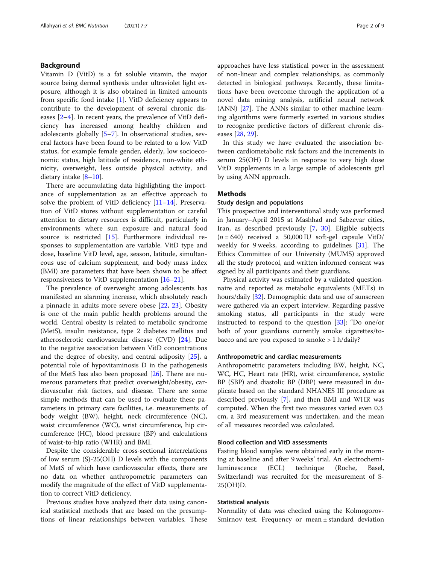# Background

Vitamin D (VitD) is a fat soluble vitamin, the major source being dermal synthesis under ultraviolet light exposure, although it is also obtained in limited amounts from specific food intake [[1\]](#page-6-0). VitD deficiency appears to contribute to the development of several chronic diseases [[2](#page-6-0)–[4\]](#page-6-0). In recent years, the prevalence of VitD deficiency has increased among healthy children and adolescents globally [\[5](#page-7-0)–[7](#page-7-0)]. In observational studies, several factors have been found to be related to a low VitD status, for example female gender, elderly, low socioeconomic status, high latitude of residence, non-white ethnicity, overweight, less outside physical activity, and dietary intake [\[8](#page-7-0)–[10](#page-7-0)].

There are accumulating data highlighting the importance of supplementation as an effective approach to solve the problem of VitD deficiency [[11](#page-7-0)–[14\]](#page-7-0). Preservation of VitD stores without supplementation or careful attention to dietary resources is difficult, particularly in environments where sun exposure and natural food source is restricted [\[15](#page-7-0)]. Furthermore individual responses to supplementation are variable. VitD type and dose, baseline VitD level, age, season, latitude, simultaneous use of calcium supplement, and body mass index (BMI) are parameters that have been shown to be affect responsiveness to VitD supplementation [\[16](#page-7-0)–[21\]](#page-7-0).

The prevalence of overweight among adolescents has manifested an alarming increase, which absolutely reach a pinnacle in adults more severe obese [\[22](#page-7-0), [23\]](#page-7-0). Obesity is one of the main public health problems around the world. Central obesity is related to metabolic syndrome (MetS), insulin resistance, type 2 diabetes mellitus and atherosclerotic cardiovascular disease (CVD) [[24](#page-7-0)]. Due to the negative association between VitD concentrations and the degree of obesity, and central adiposity [[25\]](#page-7-0), a potential role of hypovitaminosis D in the pathogenesis of the MetS has also been proposed [[26](#page-7-0)]. There are numerous parameters that predict overweight/obesity, cardiovascular risk factors, and disease. There are some simple methods that can be used to evaluate these parameters in primary care facilities, i.e. measurements of body weight (BW), height, neck circumference (NC), waist circumference (WC), wrist circumference, hip circumference (HC), blood pressure (BP) and calculations of waist-to-hip ratio (WHR) and BMI.

Despite the considerable cross-sectional interrelations of low serum (S)-25(OH) D levels with the components of MetS of which have cardiovascular effects, there are no data on whether anthropometric parameters can modify the magnitude of the effect of VitD supplementation to correct VitD deficiency.

Previous studies have analyzed their data using canonical statistical methods that are based on the presumptions of linear relationships between variables. These approaches have less statistical power in the assessment of non-linear and complex relationships, as commonly detected in biological pathways. Recently, these limitations have been overcome through the application of a novel data mining analysis, artificial neural network (ANN) [[27\]](#page-7-0). The ANNs similar to other machine learning algorithms were formerly exerted in various studies to recognize predictive factors of different chronic diseases [[28](#page-7-0), [29](#page-7-0)].

In this study we have evaluated the association between cardiometabolic risk factors and the increments in serum 25(OH) D levels in response to very high dose VitD supplements in a large sample of adolescents girl by using ANN approach.

# Methods

# Study design and populations

This prospective and interventional study was performed in January–April 2015 at Mashhad and Sabzevar cities, Iran, as described previously [\[7](#page-7-0), [30\]](#page-7-0). Eligible subjects  $(n = 640)$  received a 50,000 IU soft-gel capsule VitD/ weekly for 9 weeks, according to guidelines [[31\]](#page-7-0). The Ethics Committee of our University (MUMS) approved all the study protocol, and written informed consent was signed by all participants and their guardians.

Physical activity was estimated by a validated questionnaire and reported as metabolic equivalents (METs) in hours/daily [[32\]](#page-7-0). Demographic data and use of sunscreen were gathered via an expert interview. Regarding passive smoking status, all participants in the study were instructed to respond to the question [[33\]](#page-7-0): "Do one/or both of your guardians currently smoke cigarettes/tobacco and are you exposed to smoke > 1 h/daily?

### Anthropometric and cardiac measurements

Anthropometric parameters including BW, height, NC, WC, HC, Heart rate (HR), wrist circumference, systolic BP (SBP) and diastolic BP (DBP) were measured in duplicate based on the standard NHANES III procedure as described previously [[7\]](#page-7-0), and then BMI and WHR was computed. When the first two measures varied even 0.3 cm, a 3rd measurement was undertaken, and the mean of all measures recorded was calculated.

# Blood collection and VitD assessments

Fasting blood samples were obtained early in the morning at baseline and after 9 weeks' trial. An electrochemiluminescence (ECL) technique (Roche, Basel, Switzerland) was recruited for the measurement of S-25(OH)D.

#### Statistical analysis

Normality of data was checked using the Kolmogorov-Smirnov test. Frequency or mean ± standard deviation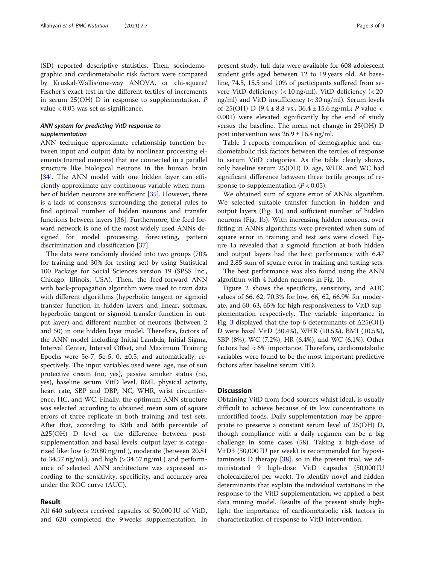(SD) reported descriptive statistics. Then, sociodemographic and cardiometabolic risk factors were compared by Kruskal-Wallis/one-way ANOVA, or chi-square/ Fischer's exact test in the different tertiles of increments in serum 25(OH) D in response to supplementation. P value < 0.05 was set as significance.

# ANN system for predicting VitD response to supplementation

ANN technique approximate relationship function between input and output data by nonlinear processing elements (named neurons) that are connected in a parallel structure like biological neurons in the human brain [[34\]](#page-7-0). The ANN model with one hidden layer can efficiently approximate any continuous variable when number of hidden neurons are sufficient [[35\]](#page-7-0). However, there is a lack of consensus surrounding the general rules to find optimal number of hidden neurons and transfer functions between layers [[36\]](#page-7-0). Furthermore, the feed forward network is one of the most widely used ANNs designed for model processing, forecasting, pattern discrimination and classification [[37](#page-7-0)].

The data were randomly divided into two groups (70% for training and 30% for testing set) by using Statistical 100 Package for Social Sciences version 19 (SPSS Inc., Chicago, Illinois, USA). Then, the feed-forward ANN with back-propagation algorithm were used to train data with different algorithms (hyperbolic tangent or sigmoid transfer function in hidden layers and linear, softmax, hyperbolic tangent or sigmoid transfer function in output layer) and different number of neurons (between 2 and 50) in one hidden layer model. Therefore, factors of the ANN model including Initial Lambda, Initial Sigma, Interval Center, Interval Offset, and Maximum Training Epochs were 5e-7, 5e-5, 0,  $\pm$ 0.5, and automatically, respectively. The input variables used were: age, use of sun protective cream (no, yes), passive smoker status (no, yes), baseline serum VitD level, BMI, physical activity, heart rate, SBP and DBP, NC, WHR, wrist circumference, HC, and WC. Finally, the optimum ANN structure was selected according to obtained mean sum of square errors of three replicate in both training and test sets. After that, according to 33th and 66th percentile of Δ25(OH) D level or the difference between postsupplementation and basal levels, output layer is categorized like: low (< 20.80 ng/mL), moderate (between 20.81 to 34.57 ng/mL), and high  $(> 34.57 \text{ ng/mL})$  and performance of selected ANN architecture was expressed according to the sensitivity, specificity, and accuracy area under the ROC curve (AUC).

# Result

All 640 subjects received capsules of 50,000 IU of VitD, and 620 completed the 9 weeks supplementation. In present study, full data were available for 608 adolescent student girls aged between 12 to 19 years old. At baseline, 74.5, 15.5 and 10% of participants suffered from severe VitD deficiency (< 10 ng/ml), VitD deficiency (< 20 ng/ml) and VitD insufficiency (< 30 ng/ml). Serum levels of 25(OH) D (9.4 ± 8.8 vs.,  $36.4 \pm 15.6$  ng/mL; P-value < 0.001) were elevated significantly by the end of study versus the baseline. The mean net change in 25(OH) D post intervention was  $26.9 \pm 16.4$  ng/ml.

Table [1](#page-3-0) reports comparison of demographic and cardiometabolic risk factors between the tertiles of response to serum VitD categories. As the table clearly shows, only baseline serum 25(OH) D, age, WHR, and WC had significant difference between three tertile groups of response to supplementation ( $P < 0.05$ ).

We obtained sum of square error of ANNs algorithm. We selected suitable transfer function in hidden and output layers (Fig. [1](#page-4-0)a) and sufficient number of hidden neurons (Fig. [1](#page-4-0)b). With increasing hidden neurons, over fitting in ANNs algorithms were prevented when sum of square error in training and test sets were closed. Figure [1](#page-4-0)a revealed that a sigmoid function at both hidden and output layers had the best performance with 6.47 and 2.85 sum of square error in training and testing sets.

The best performance was also found using the ANN algorithm with 4 hidden neurons in Fig. [1](#page-4-0)b.

Figure [2](#page-4-0) shows the specificity, sensitivity, and AUC values of 66, 62, 70.3% for low, 66, 62, 66.9% for moderate, and 60, 63, 65% for high responsiveness to VitD supplementation respectively. The variable importance in Fig. [3](#page-5-0) displayed that the top-6 determinants of  $\Delta 25(OH)$ D were basal VitD (30.4%), WHR (10.5%), BMI (10.5%), SBP (8%), WC (7.2%), HR (6.4%), and WC (6.1%). Other factors had < 6% importance. Therefore, cardiometabolic variables were found to be the most important predictive factors after baseline serum VitD.

# **Discussion**

Obtaining VitD from food sources whilst ideal, is usually difficult to achieve because of its low concentrations in unfortified foods. Daily supplementation may be appropriate to preserve a constant serum level of 25(OH) D, though compliance with a daily regimen can be a big challenge in some cases (58). Taking a high-dose of VitD3 (50,000 IU per week) is recommended for hypovitaminosis D therapy [\[38](#page-7-0)], so in the present trial, we administrated 9 high-dose VitD capsules (50,000 IU cholecalciferol per week). To identify novel and hidden determinants that explain the individual variations in the response to the VitD supplementation, we applied a best data mining model. Results of the present study highlight the importance of cardiometabolic risk factors in characterization of response to VitD intervention.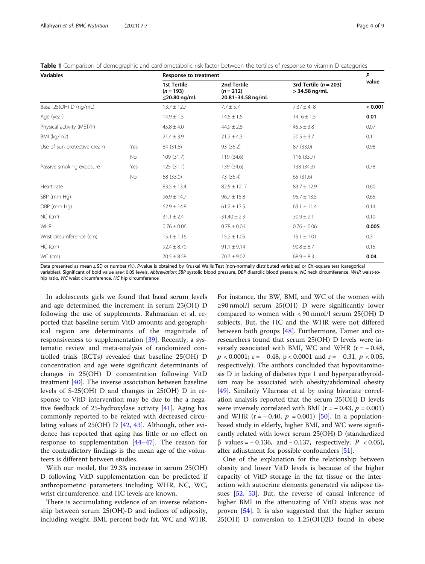| <b>Variables</b>            |           | <b>Response to treatment</b>                            |                                                 |                                              | P       |
|-----------------------------|-----------|---------------------------------------------------------|-------------------------------------------------|----------------------------------------------|---------|
|                             |           | <b>1st Tertile</b><br>$(n = 193)$<br>$\leq$ 20.80 ng/mL | 2nd Tertile<br>$(n = 212)$<br>20.81-34.58 ng/mL | 3rd Tertile ( $n = 203$ )<br>$>$ 34.58 ng/mL | value   |
| Basal 25(OH) D (ng/mL)      |           | $13.7 \pm 12.7$                                         | $7.7 \pm 5.7$                                   | $7.37 \pm 4.8$                               | < 0.001 |
| Age (year)                  |           | $14.9 \pm 1.5$                                          | $14.5 \pm 1.5$                                  | 14.6 $\pm$ 1.5                               | 0.01    |
| Physical activity (MET/h)   |           | $45.8 \pm 4.0$                                          | $44.9 \pm 2.8$                                  | $45.5 \pm 3.8$                               | 0.07    |
| BMI (kg/m2)                 |           | $21.4 \pm 3.9$                                          | $21.2 \pm 4.3$                                  | $20.5 \pm 3.7$                               | 0.11    |
| Use of sun protective cream | Yes       | 84 (31.8)                                               | 93 (35.2)                                       | 87 (33.0)                                    | 0.98    |
|                             | <b>No</b> | 109(31.7)                                               | 119 (34.6)                                      | 116 (33.7)                                   |         |
| Passive smoking exposure    | Yes       | 125(31.1)                                               | 139 (34.6)                                      | 138 (34.3)                                   | 0.78    |
|                             | <b>No</b> | 68 (33.0)                                               | 73 (35.4)                                       | 65 (31.6)                                    |         |
| Heart rate                  |           | $83.5 \pm 13.4$                                         | $82.5 \pm 12.7$                                 | $83.7 \pm 12.9$                              | 0.60    |
| SBP (mm Hg)                 |           | $96.9 \pm 14.7$                                         | $96.7 \pm 15.8$                                 | $95.7 \pm 13.5$                              | 0.65    |
| DBP (mm Hg)                 |           | $62.9 \pm 14.8$                                         | $61.2 \pm 13.5$                                 | $63.1 \pm 11.4$                              | 0.14    |
| $NC$ (cm)                   |           | $31.1 \pm 2.4$                                          | $31.40 \pm 2.3$                                 | $30.9 \pm 2.1$                               | 0.10    |
| <b>WHR</b>                  |           | $0.76 \pm 0.06$                                         | $0.78 \pm 0.06$                                 | $0.76 \pm 0.06$                              | 0.005   |
| Wrist circumference (cm)    |           | $15.1 \pm 1.16$                                         | $15.2 \pm 1.05$                                 | $15.1 \pm 1.01$                              | 0.31    |
| $HC$ (cm)                   |           | $92.4 \pm 8.70$                                         | $91.1 \pm 9.14$                                 | $90.8 \pm 8.7$                               | 0.15    |
| WC (cm)                     |           | $70.5 \pm 8.58$                                         | $70.7 \pm 9.02$                                 | $68.9 \pm 8.3$                               | 0.04    |

<span id="page-3-0"></span>Table 1 Comparison of demographic and cardiometabolic risk factor between the tertiles of response to vitamin D categories

Data presented as mean ± SD or number (%). P-value is obtained by Kruskal Wallis Test (non-normally distributed variables) or Chi-square test (categorical variables). Significant of bold value are< 0.05 levels. Abbreviation: SBP systolic blood pressure, DBP diastolic blood pressure, NC neck circumference, WHR waist-tohip ratio, WC waist circumference, HC hip circumference

In adolescents girls we found that basal serum levels and age determined the increment in serum 25(OH) D following the use of supplements. Rahmanian et al. reported that baseline serum VitD amounts and geographical region are determinants of the magnitude of responsiveness to supplementation [[39](#page-7-0)]. Recently, a systematic review and meta-analysis of randomized controlled trials (RCTs) revealed that baseline 25(OH) D concentration and age were significant determinants of changes in 25(OH) D concentration following VitD treatment [\[40\]](#page-7-0). The inverse association between baseline levels of S-25(OH) D and changes in 25(OH) D in response to VitD intervention may be due to the a negative feedback of 25-hydroxylase activity [\[41](#page-7-0)]. Aging has commonly reported to be related with decreased circulating values of 25(OH) D [[42,](#page-7-0) [43](#page-7-0)]. Although, other evidence has reported that aging has little or no effect on response to supplementation [[44](#page-7-0)–[47](#page-7-0)]. The reason for the contradictory findings is the mean age of the volunteers is different between studies.

With our model, the 29.3% increase in serum 25(OH) D following VitD supplementation can be predicted if anthropometric parameters including WHR, NC, WC, wrist circumference, and HC levels are known.

There is accumulating evidence of an inverse relationship between serum 25(OH)-D and indices of adiposity, including weight, BMI, percent body fat, WC and WHR.

For instance, the BW, BMI, and WC of the women with ≥90 nmol/l serum 25(OH) D were significantly lower compared to women with < 90 nmol/l serum 25(OH) D subjects. But, the HC and the WHR were not differed between both groups [\[48](#page-7-0)]. Furthermore, Tamer and coresearchers found that serum 25(OH) D levels were inversely associated with BMI, WC and WHR  $(r = -0.48,$  $p < 0.0001$ ; r = -0.48, p < 0.0001 and r = -0.31, p < 0.05, respectively). The authors concluded that hypovitaminosis D in lacking of diabetes type 1 and hyperparathyroidism may be associated with obesity/abdominal obesity [[49\]](#page-7-0). Similarly Vilarrasa et al by using bivariate correlation analysis reported that the serum 25(OH) D levels were inversely correlated with BMI ( $r = -0.43$ ,  $p = 0.001$ ) and WHR ( $r = -0.40$ ,  $p = 0.001$ ) [\[50](#page-7-0)]. In a populationbased study in elderly, higher BMI, and WC were significantly related with lower serum 25(OH) D (standardized  $β$  values = −0.136, and −0.137, respectively;  $P$  <0.05), after adjustment for possible confounders [\[51](#page-7-0)].

One of the explanation for the relationship between obesity and lower VitD levels is because of the higher capacity of VitD storage in the fat tissue or the interaction with autocrine elements generated via adipose tissues [[52](#page-7-0), [53](#page-7-0)]. But, the reverse of causal inference of higher BMI in the attenuating of VitD status was not proven [[54](#page-7-0)]. It is also suggested that the higher serum 25(OH) D conversion to 1,25(OH)2D found in obese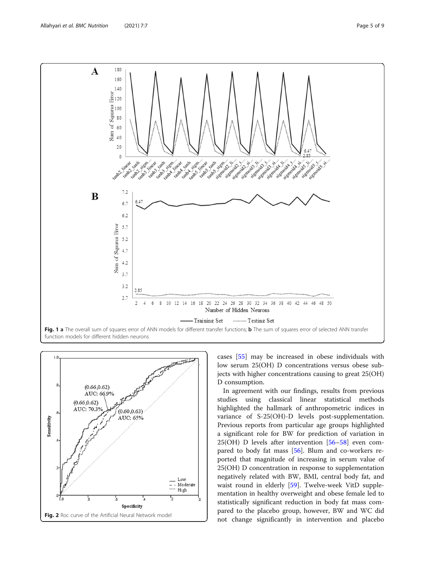<span id="page-4-0"></span>



cases [[55](#page-7-0)] may be increased in obese individuals with low serum 25(OH) D concentrations versus obese subjects with higher concentrations causing to great 25(OH) D consumption.

In agreement with our findings, results from previous studies using classical linear statistical methods highlighted the hallmark of anthropometric indices in variance of S-25(OH)-D levels post-supplementation. Previous reports from particular age groups highlighted a significant role for BW for prediction of variation in 25(OH) D levels after intervention [\[56](#page-7-0)–[58](#page-7-0)] even compared to body fat mass [[56](#page-7-0)]. Blum and co-workers reported that magnitude of increasing in serum value of 25(OH) D concentration in response to supplementation negatively related with BW, BMI, central body fat, and waist round in elderly [[59\]](#page-8-0). Twelve-week VitD supplementation in healthy overweight and obese female led to statistically significant reduction in body fat mass compared to the placebo group, however, BW and WC did not change significantly in intervention and placebo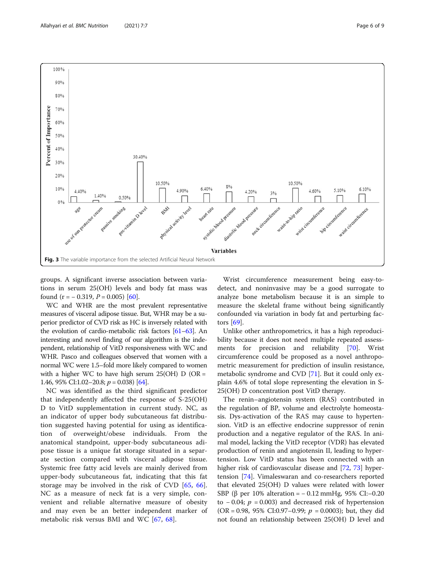<span id="page-5-0"></span>

groups. A significant inverse association between variations in serum 25(OH) levels and body fat mass was found  $(r = -0.319, P = 0.005)$  [[60\]](#page-8-0).

WC and WHR are the most prevalent representative measures of visceral adipose tissue. But, WHR may be a superior predictor of CVD risk as HC is inversely related with the evolution of cardio-metabolic risk factors [\[61](#page-8-0)–[63\]](#page-8-0). An interesting and novel finding of our algorithm is the independent, relationship of VitD responsiveness with WC and WHR. Pasco and colleagues observed that women with a normal WC were 1.5–fold more likely compared to women with a higher WC to have high serum  $25(OH)$  D (OR = 1.46, 95% CI:1.02–20.8;  $p = 0.038$  [\[64](#page-8-0)].

NC was identified as the third significant predictor that independently affected the response of S-25(OH) D to VitD supplementation in current study. NC, as an indicator of upper body subcutaneous fat distribution suggested having potential for using as identification of overweight/obese individuals. From the anatomical standpoint, upper-body subcutaneous adipose tissue is a unique fat storage situated in a separate section compared with visceral adipose tissue. Systemic free fatty acid levels are mainly derived from upper-body subcutaneous fat, indicating that this fat storage may be involved in the risk of CVD [\[65](#page-8-0), [66](#page-8-0)]. NC as a measure of neck fat is a very simple, convenient and reliable alternative measure of obesity and may even be an better independent marker of metabolic risk versus BMI and WC [[67,](#page-8-0) [68](#page-8-0)].

Wrist circumference measurement being easy-todetect, and noninvasive may be a good surrogate to analyze bone metabolism because it is an simple to measure the skeletal frame without being significantly confounded via variation in body fat and perturbing factors [[69](#page-8-0)].

Unlike other anthropometrics, it has a high reproducibility because it does not need multiple repeated assessments for precision and reliability [\[70](#page-8-0)]. Wrist circumference could be proposed as a novel anthropometric measurement for prediction of insulin resistance, metabolic syndrome and CVD [[71](#page-8-0)]. But it could only explain 4.6% of total slope representing the elevation in S-25(OH) D concentration post VitD therapy.

The renin–angiotensin system (RAS) contributed in the regulation of BP, volume and electrolyte homeostasis. Dys-activation of the RAS may cause to hypertension. VitD is an effective endocrine suppressor of renin production and a negative regulator of the RAS. In animal model, lacking the VitD receptor (VDR) has elevated production of renin and angiotensin II, leading to hypertension. Low VitD status has been connected with an higher risk of cardiovascular disease and [[72,](#page-8-0) [73](#page-8-0)] hypertension [[74](#page-8-0)]. Vimaleswaran and co-researchers reported that elevated 25(OH) D values were related with lower SBP (β per 10% alteration =  $-$  0.12 mmHg, 95% CI:–0.20 to − 0.04;  $p = 0.003$ ) and decreased risk of hypertension  $(OR = 0.98, 95\% \text{ CI:}0.97-0.99; p = 0.0003)$ ; but, they did not found an relationship between 25(OH) D level and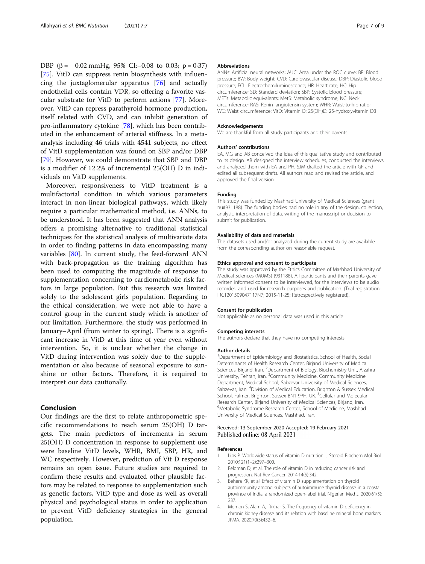<span id="page-6-0"></span>DBP (β =  $-0.02$  mmHg, 95% CI:–0.08 to 0.03; p = 0.37) [[75\]](#page-8-0). VitD can suppress renin biosynthesis with influencing the juxtaglomerular apparatus [[76\]](#page-8-0) and actually endothelial cells contain VDR, so offering a favorite vascular substrate for VitD to perform actions [[77\]](#page-8-0). Moreover, VitD can repress parathyroid hormone production, itself related with CVD, and can inhibit generation of pro-inflammatory cytokine [[78\]](#page-8-0), which has been contributed in the enhancement of arterial stiffness. In a metaanalysis including 46 trials with 4541 subjects, no effect of VitD supplementation was found on SBP and/or DBP [[79\]](#page-8-0). However, we could demonstrate that SBP and DBP is a modifier of 12.2% of incremental 25(OH) D in individuals on VitD supplements.

Moreover, responsiveness to VitD treatment is a multifactorial condition in which various parameters interact in non-linear biological pathways, which likely require a particular mathematical method, i.e. ANNs, to be understood. It has been suggested that ANN analysis offers a promising alternative to traditional statistical techniques for the statistical analysis of multivariate data in order to finding patterns in data encompassing many variables [[80](#page-8-0)]. In current study, the feed-forward ANN with back-propagation as the training algorithm has been used to computing the magnitude of response to supplementation concerning to cardiometabolic risk factors in large population. But this research was limited solely to the adolescent girls population. Regarding to the ethical consideration, we were not able to have a control group in the current study which is another of our limitation. Furthermore, the study was performed in January–April (from winter to spring). There is a significant increase in VitD at this time of year even without intervention. So, it is unclear whether the change in VitD during intervention was solely due to the supplementation or also because of seasonal exposure to sunshine or other factors. Therefore, it is required to interpret our data cautionally.

# Conclusion

Our findings are the first to relate anthropometric specific recommendations to reach serum 25(OH) D targets. The main predictors of increments in serum 25(OH) D concentration in response to supplement use were baseline VitD levels, WHR, BMI, SBP, HR, and WC respectively. However, prediction of Vit D response remains an open issue. Future studies are required to confirm these results and evaluated other plausible factors may be related to response to supplementation such as genetic factors, VitD type and dose as well as overall physical and psychological status in order to application to prevent VitD deficiency strategies in the general population.

#### Abbreviations

ANNs: Artificial neural networks; AUC: Area under the ROC curve; BP: Blood pressure; BW: Body weight; CVD: Cardiovascular disease; DBP: Diastolic blood pressure; ECL: Electrochemiluminescence; HR: Heart rate; HC: Hip circumference; SD: Standard deviation; SBP: Systolic blood pressure; METs: Metabolic equivalents; MetS: Metabolic syndrome; NC: Neck circumference; RAS: Renin–angiotensin system; WHR: Waist-to-hip ratio; WC: Waist circumference; VitD: Vitamin D; 25(OH)D: 25-hydroxyvitamin D3

#### Acknowledgements

We are thankful from all study participants and their parents.

#### Authors' contributions

EA, MG and AB conceived the idea of this qualitative study and contributed to its design. AB designed the interview schedules, conducted the interviews and analyzed them with EA and PH. SJM drafted the article with GF and edited all subsequent drafts. All authors read and revised the article, and approved the final version.

#### Funding

This study was funded by Mashhad University of Medical Sciences (grant nu#931188). The funding bodies had no role in any of the design, collection, analysis, interpretation of data, writing of the manuscript or decision to submit for publication.

#### Availability of data and materials

The datasets used and/or analyzed during the current study are available from the corresponding author on reasonable request.

#### Ethics approval and consent to participate

The study was approved by the Ethics Committee of Mashhad University of Medical Sciences (MUMS) (931188). All participants and their parents gave written informed consent to be interviewed, for the interviews to be audio recorded and used for research purposes and publication. (Trial registration: IRCT201509047117N7; 2015-11-25; Retrospectively registered).

#### Consent for publication

Not applicable as no personal data was used in this article.

#### Competing interests

The authors declare that they have no competing interests.

#### Author details

<sup>1</sup>Department of Epidemiology and Biostatistics, School of Health, Social Determinants of Health Research Center, Birjand University of Medical Sciences, Birjand, Iran. <sup>2</sup>Department of Biology, Biochemistry Unit, Alzahra University, Tehran, Iran. <sup>3</sup>Community Medicine, Community Medicine Department, Medical School, Sabzevar University of Medical Sciences, Sabzevar, Iran. <sup>4</sup> Division of Medical Education, Brighton & Sussex Medical School, Falmer, Brighton, Sussex BN1 9PH, UK. <sup>5</sup>Cellular and Molecular Research Center, Birjand University of Medical Sciences, Birjand, Iran. 6 Metabolic Syndrome Research Center, School of Medicine, Mashhad University of Medical Sciences, Mashhad, Iran.

#### Received: 13 September 2020 Accepted: 19 February 2021 Published online: 08 April 2021

#### References

- 1. Lips P. Worldwide status of vitamin D nutrition. J Steroid Biochem Mol Biol. 2010;121(1–2):297–300.
- 2. Feldman D, et al. The role of vitamin D in reducing cancer risk and progression. Nat Rev Cancer. 2014;14(5):342.
- 3. Behera KK, et al. Effect of vitamin D supplementation on thyroid autoimmunity among subjects of autoimmune thyroid disease in a coastal province of India: a randomized open-label trial. Nigerian Med J. 2020;61(5): 237.
- 4. Memon S, Alam A, Iftikhar S. The frequency of vitamin D deficiency in chronic kidney disease and its relation with baseline mineral bone markers. JPMA. 2020;70(3):432–6.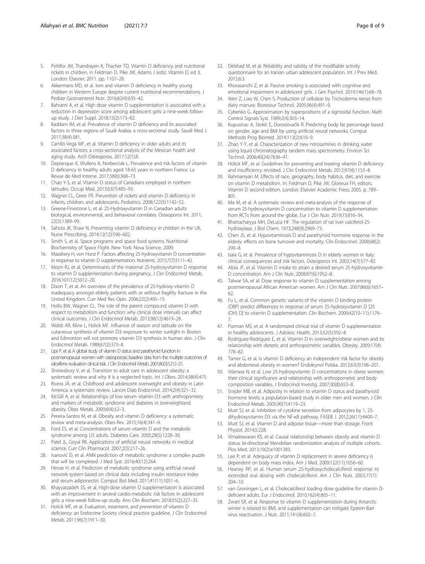- <span id="page-7-0"></span>5. Pettifor JM, Thandrayen K, Thacher TD. Vitamin D deficiency and nutritional rickets in children, in Feldman D, Pike JW, Adams J (eds): Vitamin D, ed 3. London: Elsevier; 2011. pp. 1107–28.
- 6. Akkermans MD, et al. Iron and vitamin D deficiency in healthy young children in Western Europe despite current nutritional recommendations. J Pediatr Gastroenterol Nutr. 2016;62(4):635–42.
- 7. Bahrami A, et al. High dose vitamin D supplementation is associated with a reduction in depression score among adolescent girls: a nine-week followup study. J Diet Suppl. 2018;15(2):173–82.
- Kaddam IM, et al. Prevalence of vitamin D deficiency and its associated factors in three regions of Saudi Arabia: a cross-sectional study. Saudi Med J. 2017;38(4):381.
- 9. Carrillo-Vega MF, et al. Vitamin D deficiency in older adults and its associated factors: a cross-sectional analysis of the Mexican health and aging study. Arch Osteoporos. 2017;12(1):8.
- 10. Deplanque X, Wullens A, Norberciak L. Prevalence and risk factors of vitamin D deficiency in healthy adults aged 18-65 years in northern France. La Revue de Med Interne. 2017;38(6):368–73.
- 11. Chao Y-S, et al. Vitamin D status of Canadians employed in northern latitudes. Occup Med. 2013;63(7):485–93.
- 12. Wagner CL, Greer FR. Prevention of rickets and vitamin D deficiency in infants, children, and adolescents. Pediatrics. 2008;122(5):1142–52.
- 13. Greene-Finestone L, et al. 25-Hydroxyvitamin D in Canadian adults: biological, environmental, and behavioral correlates. Osteoporos Int. 2011; 22(5):1389–99.
- 14. Sahota JK, Shaw N. Preventing vitamin D deficiency in children in the UK. Nurse Prescribing. 2014;12(12):596–602.
- 15. Smith S, et al. Space programs and space food systems. Nutritional Biochemistry of Space Flight. New York: Nova Science; 2009.
- 16. Mazahery H, von Hurst P. Factors affecting 25-hydroxyvitamin D concentration in response to vitamin D supplementation. Nutrients. 2015;7(7):5111–42.
- 17. Moon RJ, et al. Determinants of the maternal 25-hydroxyvitamin D response to vitamin D supplementation during pregnancy. J Clin Endocrinol Metab. 2016;101(12):5012–20.
- 18. Dixon T, et al. An overview of the prevalence of 25-hydroxy-vitamin D inadequacy amongst elderly patients with or without fragility fracture in the United Kingdom. Curr Med Res Opin. 2006;22(2):405–15.
- 19. Hollis BW, Wagner CL. The role of the parent compound vitamin D with respect to metabolism and function: why clinical dose intervals can affect clinical outcomes. J Clin Endocrinol Metab. 2013;98(12):4619–28.
- 20. Webb AR, Kline L, Holick MF. Influence of season and latitude on the cutaneous synthesis of vitamin D3: exposure to winter sunlight in Boston and Edmonton will not promote vitamin D3 synthesis in human skin. J Clin Endocrinol Metab. 1988;67(2):373–8.
- 21. Lips P, et al. A global study of vitamin D status and parathyroid function in postmenopausal women with osteoporosis: baseline data from the multiple outcomes of raloxifene evaluation clinical trial. J Clin Endocrinol Metab. 2001;86(3):1212-21.
- 22. Shrewsbury V, et al. Transition to adult care in adolescent obesity: a systematic review and why it is a neglected topic. Int J Obes. 2014;38(4):475.
- 23. Rivera JÁ, et al. Childhood and adolescent overweight and obesity in Latin America: a systematic review. Lancet Diab Endocrinol. 2014;2(4):321–32.
- 24. McGill A, et al. Relationships of low serum vitamin D3 with anthropometry and markers of metabolic syndrome and diabetes in overweightand obesity. Obes Metab. 2009;6(4):52–3.
- 25. Pereira-Santos M, et al. Obesity and vitamin D deficiency: a systematic review and meta-analysis. Obes Rev. 2015;16(4):341–9.
- 26. Ford ES, et al. Concentrations of serum vitamin D and the metabolic syndrome among US adults. Diabetes Care. 2005;28(5):1228–30.
- 27. Patel JL, Goyal RK. Applications of artificial neural networks in medical science. Curr Clin Pharmacol. 2007;2(3):217–26.
- 28. Ivanović D, et al. ANN prediction of metabolic syndrome: a complex puzzle that will be completed. J Med Syst. 2016;40(12):264.
- 29. Hirose H, et al. Prediction of metabolic syndrome using artificial neural network system based on clinical data including insulin resistance index and serum adiponectin. Comput Biol Med. 2011;41(11):1051–6.
- 30. Khayyatzadeh SS, et al. High-dose vitamin D supplementation is associated with an improvement in several cardio-metabolic risk factors in adolescent girls: a nine-week follow-up study. Ann Clin Biochem. 2018;55(2):227–35.
- 31. Holick MF, et al. Evaluation, treatment, and prevention of vitamin D deficiency: an Endocrine Society clinical practice guideline. J Clin Endocrinol Metab. 2011;96(7):1911–30.
- 32. Delshad M, et al. Reliability and validity of the modifiable activity questionnaire for an Iranian urban adolescent population. Int J Prev Med. 2015;6:3.
- 33. Khorasanchi Z, et al. Passive smoking is associated with cognitive and emotional impairment in adolescent girls. J Gen Psychol. 2019;146(1):68–78.
- 34. Wen Z, Liao W, Chen S. Production of cellulase by Trichoderma reesei from dairy manure. Bioresour Technol. 2005;96(4):491–9.
- 35. Cybenko G. Approximation by superpositions of a sigmoidal function. Math Control Signals Syst. 1989;2(4):303–14.
- 36. Kupusinac A, Stokić E, Doroslovački R. Predicting body fat percentage based on gender, age and BMI by using artificial neural networks. Comput Methods Prog Biomed. 2014;113(2):610–9.
- 37. Zhao Y-Y, et al. Characterization of new nitrosamines in drinking water using liquid chromatography tandem mass spectrometry. Environ Sci Technol. 2006;40(24):7636–41.
- 38. Holick MF, et al. Guidelines for preventing and treating vitamin D deficiency and insufficiency revisited. J Clin Endocrinol Metab. 2012;97(4):1153–8.
- 39. Rahmaniyan M. Effects of race, geography, body habitus, diet, and exercise on vitamin D metabolism. In: Feldman D, Pike JW, Glorieux FH, editors. Vitamin D second edition. London: Elsevier Academic Press; 2005. p. 789– 801.
- 40. Mo M, et al. A systematic review and meta-analysis of the response of serum 25-hydroxyvitamin D concentration to vitamin D supplementation from RCTs from around the globe. Eur J Clin Nutr. 2019;73:816–34.
- 41. Bhattacharyya MH, DeLuca HF. The regulation of rat liver calciferol-25 hydroxylase. J Biol Chem. 1973;248(9):2969–73.
- 42. Chen JS, et al. Hypovitaminosis D and parathyroid hormone response in the elderly: effects on bone turnover and mortality. Clin Endocrinol. 2008;68(2): 290–8.
- 43. Isaia G, et al. Prevalence of hypovitaminosis D in elderly women in Italy: clinical consequences and risk factors. Osteoporos Int. 2003;14(7):577–82.
- 44. Aloia JF, et al. Vitamin D intake to attain a desired serum 25-hydroxyvitamin D concentration. Am J Clin Nutr. 2008;87(6):1952–8.
- 45. Talwar SA, et al. Dose response to vitamin D supplementation among postmenopausal African American women. Am J Clin Nutr. 2007;86(6):1657– 62.
- 46. Fu L, et al. Common genetic variants of the vitamin D binding protein (DBP) predict differences in response of serum 25-hydroxyvitamin D [25 (OH) D] to vitamin D supplementation. Clin Biochem. 2009;42(10–11):1174– 7.
- 47. Putman MS, et al. A randomized clinical trial of vitamin D supplementation in healthy adolescents. J Adolesc Health. 2013;52(5):592–8.
- 48. Rodríguez-Rodríguez E, et al. Vitamin D in overweight/obese women and its relationship with dietetic and anthropometric variables. Obesity. 2009;17(4): 778–82.
- 49. Tamer G, et al. Is vitamin D deficiency an independent risk factor for obesity and abdominal obesity in women? Endokrynol Polska. 2012;63(3):196–201.
- Vilarrasa N, et al. Low 25-hydroxyvitamin D concentrations in obese women: their clinical significance and relationship with anthropometric and body composition variables. J Endocrinol Investig. 2007;30(8):653–8.
- 51. Snijder MB, et al. Adiposity in relation to vitamin D status and parathyroid hormone levels: a population-based study in older men and women. J Clin Endocrinol Metab. 2005;90(7):4119–23.
- 52. Mutt SJ, et al. Inhibition of cytokine secretion from adipocytes by 1, 25 dihydroxyvitamin D3 via the NF-κB pathway. FASEB J. 2012;26(11):4400–7.
- 53. Mutt SJ, et al. Vitamin D and adipose tissue—more than storage. Front Physiol. 2014;5:228.
- 54. Vimaleswaran KS, et al. Causal relationship between obesity and vitamin D status: bi-directional Mendelian randomization analysis of multiple cohorts. Plos Med. 2013;10(2):e1001383.
- 55. Lee P, et al. Adequacy of vitamin D replacement in severe deficiency is dependent on body mass index. Am J Med. 2009;122(11):1056–60.
- 56. Heaney RP, et al. Human serum 25-hydroxycholecalciferol response to extended oral dosing with cholecalciferol. Am J Clin Nutr. 2003;77(1): 204–10.
- 57. van Groningen L, et al. Cholecalciferol loading dose guideline for vitamin Ddeficient adults. Eur J Endocrinol. 2010;162(4):805–11.
- Zwart SR, et al. Response to vitamin D supplementation during Antarctic winter is related to BMI, and supplementation can mitigate Epstein-Barr virus reactivation. J Nutr. 2011;141(4):692–7.